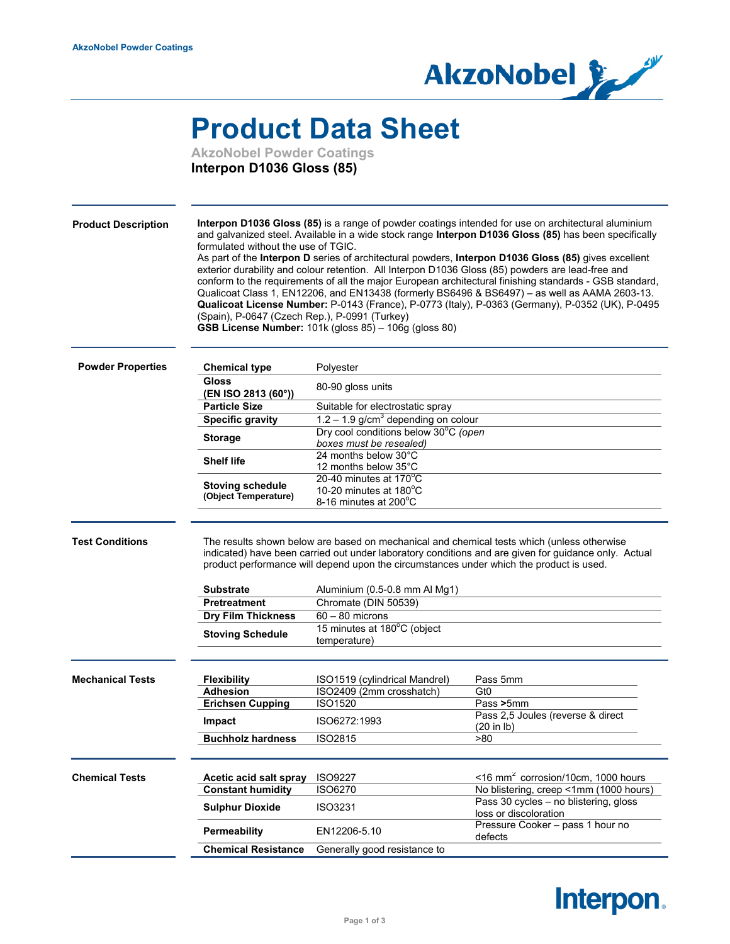

## **Product Data Sheet**

**AkzoNobel Powder Coatings Interpon D1036 Gloss (85)**

| Interpon D1036 Gloss (85) is a range of powder coatings intended for use on architectural aluminium<br><b>Product Description</b><br>and galvanized steel. Available in a wide stock range Interpon D1036 Gloss (85) has been specifically<br>formulated without the use of TGIC.<br>As part of the Interpon D series of architectural powders, Interpon D1036 Gloss (85) gives excellent<br>exterior durability and colour retention. All Interpon D1036 Gloss (85) powders are lead-free and<br>conform to the requirements of all the major European architectural finishing standards - GSB standard,<br>Qualicoat Class 1, EN12206, and EN13438 (formerly BS6496 & BS6497) - as well as AAMA 2603-13.<br>Qualicoat License Number: P-0143 (France), P-0773 (Italy), P-0363 (Germany), P-0352 (UK), P-0495<br>(Spain), P-0647 (Czech Rep.), P-0991 (Turkey)<br>GSB License Number: 101k (gloss 85) - 106g (gloss 80)<br><b>Powder Properties</b><br><b>Chemical type</b><br>Polyester<br><b>Gloss</b><br>80-90 gloss units<br>(EN ISO 2813 (60°))<br><b>Particle Size</b><br>Suitable for electrostatic spray<br>$1.2 - 1.9$ g/cm <sup>3</sup> depending on colour<br><b>Specific gravity</b><br>Dry cool conditions below 30°C (open<br><b>Storage</b><br>boxes must be resealed)<br>24 months below 30°C<br><b>Shelf life</b><br>12 months below 35°C<br>20-40 minutes at $170^{\circ}$ C<br><b>Stoving schedule</b><br>10-20 minutes at $180^{\circ}$ C<br>(Object Temperature)<br>8-16 minutes at 200°C<br><b>Test Conditions</b><br>The results shown below are based on mechanical and chemical tests which (unless otherwise<br>indicated) have been carried out under laboratory conditions and are given for guidance only. Actual<br>product performance will depend upon the circumstances under which the product is used.<br>Substrate<br>Aluminium (0.5-0.8 mm Al Mg1)<br>Pretreatment<br>Chromate (DIN 50539)<br><b>Dry Film Thickness</b><br>$60 - 80$ microns<br>15 minutes at 180°C (object<br><b>Stoving Schedule</b><br>temperature)<br><b>Mechanical Tests</b><br>ISO1519 (cylindrical Mandrel)<br>Pass 5mm<br><b>Flexibility</b><br><b>Adhesion</b><br>ISO2409 (2mm crosshatch)<br>Gt <sub>0</sub><br><b>ISO1520</b><br><b>Erichsen Cupping</b><br>Pass >5mm<br>Pass 2,5 Joules (reverse & direct<br>ISO6272:1993<br>Impact<br>(20 in lb)<br>>80<br><b>Buchholz hardness</b><br><b>ISO2815</b><br>$\leq$ 16 mm <sup>2</sup> corrosion/10cm, 1000 hours<br><b>Chemical Tests</b><br>Acetic acid salt spray<br><b>ISO9227</b><br><b>Constant humidity</b><br><b>ISO6270</b><br>No blistering, creep <1mm (1000 hours)<br>Pass 30 cycles - no blistering, gloss<br><b>Sulphur Dioxide</b><br><b>ISO3231</b><br>loss or discoloration<br>Pressure Cooker - pass 1 hour no<br>Permeability<br>EN12206-5.10<br>defects<br><b>Chemical Resistance</b><br>Generally good resistance to |  |  |  |  |
|----------------------------------------------------------------------------------------------------------------------------------------------------------------------------------------------------------------------------------------------------------------------------------------------------------------------------------------------------------------------------------------------------------------------------------------------------------------------------------------------------------------------------------------------------------------------------------------------------------------------------------------------------------------------------------------------------------------------------------------------------------------------------------------------------------------------------------------------------------------------------------------------------------------------------------------------------------------------------------------------------------------------------------------------------------------------------------------------------------------------------------------------------------------------------------------------------------------------------------------------------------------------------------------------------------------------------------------------------------------------------------------------------------------------------------------------------------------------------------------------------------------------------------------------------------------------------------------------------------------------------------------------------------------------------------------------------------------------------------------------------------------------------------------------------------------------------------------------------------------------------------------------------------------------------------------------------------------------------------------------------------------------------------------------------------------------------------------------------------------------------------------------------------------------------------------------------------------------------------------------------------------------------------------------------------------------------------------------------------------------------------------------------------------------------------------------------------------------------------------------------------------------------------------------------------------------------------------------------------------------------------------------------------------------------------------------------------------------------------------------------------------------------------------------------------------------------------------------------------------------------------------------------------|--|--|--|--|
|                                                                                                                                                                                                                                                                                                                                                                                                                                                                                                                                                                                                                                                                                                                                                                                                                                                                                                                                                                                                                                                                                                                                                                                                                                                                                                                                                                                                                                                                                                                                                                                                                                                                                                                                                                                                                                                                                                                                                                                                                                                                                                                                                                                                                                                                                                                                                                                                                                                                                                                                                                                                                                                                                                                                                                                                                                                                                                          |  |  |  |  |
|                                                                                                                                                                                                                                                                                                                                                                                                                                                                                                                                                                                                                                                                                                                                                                                                                                                                                                                                                                                                                                                                                                                                                                                                                                                                                                                                                                                                                                                                                                                                                                                                                                                                                                                                                                                                                                                                                                                                                                                                                                                                                                                                                                                                                                                                                                                                                                                                                                                                                                                                                                                                                                                                                                                                                                                                                                                                                                          |  |  |  |  |
|                                                                                                                                                                                                                                                                                                                                                                                                                                                                                                                                                                                                                                                                                                                                                                                                                                                                                                                                                                                                                                                                                                                                                                                                                                                                                                                                                                                                                                                                                                                                                                                                                                                                                                                                                                                                                                                                                                                                                                                                                                                                                                                                                                                                                                                                                                                                                                                                                                                                                                                                                                                                                                                                                                                                                                                                                                                                                                          |  |  |  |  |
|                                                                                                                                                                                                                                                                                                                                                                                                                                                                                                                                                                                                                                                                                                                                                                                                                                                                                                                                                                                                                                                                                                                                                                                                                                                                                                                                                                                                                                                                                                                                                                                                                                                                                                                                                                                                                                                                                                                                                                                                                                                                                                                                                                                                                                                                                                                                                                                                                                                                                                                                                                                                                                                                                                                                                                                                                                                                                                          |  |  |  |  |
|                                                                                                                                                                                                                                                                                                                                                                                                                                                                                                                                                                                                                                                                                                                                                                                                                                                                                                                                                                                                                                                                                                                                                                                                                                                                                                                                                                                                                                                                                                                                                                                                                                                                                                                                                                                                                                                                                                                                                                                                                                                                                                                                                                                                                                                                                                                                                                                                                                                                                                                                                                                                                                                                                                                                                                                                                                                                                                          |  |  |  |  |
|                                                                                                                                                                                                                                                                                                                                                                                                                                                                                                                                                                                                                                                                                                                                                                                                                                                                                                                                                                                                                                                                                                                                                                                                                                                                                                                                                                                                                                                                                                                                                                                                                                                                                                                                                                                                                                                                                                                                                                                                                                                                                                                                                                                                                                                                                                                                                                                                                                                                                                                                                                                                                                                                                                                                                                                                                                                                                                          |  |  |  |  |
|                                                                                                                                                                                                                                                                                                                                                                                                                                                                                                                                                                                                                                                                                                                                                                                                                                                                                                                                                                                                                                                                                                                                                                                                                                                                                                                                                                                                                                                                                                                                                                                                                                                                                                                                                                                                                                                                                                                                                                                                                                                                                                                                                                                                                                                                                                                                                                                                                                                                                                                                                                                                                                                                                                                                                                                                                                                                                                          |  |  |  |  |
|                                                                                                                                                                                                                                                                                                                                                                                                                                                                                                                                                                                                                                                                                                                                                                                                                                                                                                                                                                                                                                                                                                                                                                                                                                                                                                                                                                                                                                                                                                                                                                                                                                                                                                                                                                                                                                                                                                                                                                                                                                                                                                                                                                                                                                                                                                                                                                                                                                                                                                                                                                                                                                                                                                                                                                                                                                                                                                          |  |  |  |  |
|                                                                                                                                                                                                                                                                                                                                                                                                                                                                                                                                                                                                                                                                                                                                                                                                                                                                                                                                                                                                                                                                                                                                                                                                                                                                                                                                                                                                                                                                                                                                                                                                                                                                                                                                                                                                                                                                                                                                                                                                                                                                                                                                                                                                                                                                                                                                                                                                                                                                                                                                                                                                                                                                                                                                                                                                                                                                                                          |  |  |  |  |
|                                                                                                                                                                                                                                                                                                                                                                                                                                                                                                                                                                                                                                                                                                                                                                                                                                                                                                                                                                                                                                                                                                                                                                                                                                                                                                                                                                                                                                                                                                                                                                                                                                                                                                                                                                                                                                                                                                                                                                                                                                                                                                                                                                                                                                                                                                                                                                                                                                                                                                                                                                                                                                                                                                                                                                                                                                                                                                          |  |  |  |  |
|                                                                                                                                                                                                                                                                                                                                                                                                                                                                                                                                                                                                                                                                                                                                                                                                                                                                                                                                                                                                                                                                                                                                                                                                                                                                                                                                                                                                                                                                                                                                                                                                                                                                                                                                                                                                                                                                                                                                                                                                                                                                                                                                                                                                                                                                                                                                                                                                                                                                                                                                                                                                                                                                                                                                                                                                                                                                                                          |  |  |  |  |
|                                                                                                                                                                                                                                                                                                                                                                                                                                                                                                                                                                                                                                                                                                                                                                                                                                                                                                                                                                                                                                                                                                                                                                                                                                                                                                                                                                                                                                                                                                                                                                                                                                                                                                                                                                                                                                                                                                                                                                                                                                                                                                                                                                                                                                                                                                                                                                                                                                                                                                                                                                                                                                                                                                                                                                                                                                                                                                          |  |  |  |  |
|                                                                                                                                                                                                                                                                                                                                                                                                                                                                                                                                                                                                                                                                                                                                                                                                                                                                                                                                                                                                                                                                                                                                                                                                                                                                                                                                                                                                                                                                                                                                                                                                                                                                                                                                                                                                                                                                                                                                                                                                                                                                                                                                                                                                                                                                                                                                                                                                                                                                                                                                                                                                                                                                                                                                                                                                                                                                                                          |  |  |  |  |
|                                                                                                                                                                                                                                                                                                                                                                                                                                                                                                                                                                                                                                                                                                                                                                                                                                                                                                                                                                                                                                                                                                                                                                                                                                                                                                                                                                                                                                                                                                                                                                                                                                                                                                                                                                                                                                                                                                                                                                                                                                                                                                                                                                                                                                                                                                                                                                                                                                                                                                                                                                                                                                                                                                                                                                                                                                                                                                          |  |  |  |  |
|                                                                                                                                                                                                                                                                                                                                                                                                                                                                                                                                                                                                                                                                                                                                                                                                                                                                                                                                                                                                                                                                                                                                                                                                                                                                                                                                                                                                                                                                                                                                                                                                                                                                                                                                                                                                                                                                                                                                                                                                                                                                                                                                                                                                                                                                                                                                                                                                                                                                                                                                                                                                                                                                                                                                                                                                                                                                                                          |  |  |  |  |
|                                                                                                                                                                                                                                                                                                                                                                                                                                                                                                                                                                                                                                                                                                                                                                                                                                                                                                                                                                                                                                                                                                                                                                                                                                                                                                                                                                                                                                                                                                                                                                                                                                                                                                                                                                                                                                                                                                                                                                                                                                                                                                                                                                                                                                                                                                                                                                                                                                                                                                                                                                                                                                                                                                                                                                                                                                                                                                          |  |  |  |  |
|                                                                                                                                                                                                                                                                                                                                                                                                                                                                                                                                                                                                                                                                                                                                                                                                                                                                                                                                                                                                                                                                                                                                                                                                                                                                                                                                                                                                                                                                                                                                                                                                                                                                                                                                                                                                                                                                                                                                                                                                                                                                                                                                                                                                                                                                                                                                                                                                                                                                                                                                                                                                                                                                                                                                                                                                                                                                                                          |  |  |  |  |
|                                                                                                                                                                                                                                                                                                                                                                                                                                                                                                                                                                                                                                                                                                                                                                                                                                                                                                                                                                                                                                                                                                                                                                                                                                                                                                                                                                                                                                                                                                                                                                                                                                                                                                                                                                                                                                                                                                                                                                                                                                                                                                                                                                                                                                                                                                                                                                                                                                                                                                                                                                                                                                                                                                                                                                                                                                                                                                          |  |  |  |  |
|                                                                                                                                                                                                                                                                                                                                                                                                                                                                                                                                                                                                                                                                                                                                                                                                                                                                                                                                                                                                                                                                                                                                                                                                                                                                                                                                                                                                                                                                                                                                                                                                                                                                                                                                                                                                                                                                                                                                                                                                                                                                                                                                                                                                                                                                                                                                                                                                                                                                                                                                                                                                                                                                                                                                                                                                                                                                                                          |  |  |  |  |
|                                                                                                                                                                                                                                                                                                                                                                                                                                                                                                                                                                                                                                                                                                                                                                                                                                                                                                                                                                                                                                                                                                                                                                                                                                                                                                                                                                                                                                                                                                                                                                                                                                                                                                                                                                                                                                                                                                                                                                                                                                                                                                                                                                                                                                                                                                                                                                                                                                                                                                                                                                                                                                                                                                                                                                                                                                                                                                          |  |  |  |  |
|                                                                                                                                                                                                                                                                                                                                                                                                                                                                                                                                                                                                                                                                                                                                                                                                                                                                                                                                                                                                                                                                                                                                                                                                                                                                                                                                                                                                                                                                                                                                                                                                                                                                                                                                                                                                                                                                                                                                                                                                                                                                                                                                                                                                                                                                                                                                                                                                                                                                                                                                                                                                                                                                                                                                                                                                                                                                                                          |  |  |  |  |
|                                                                                                                                                                                                                                                                                                                                                                                                                                                                                                                                                                                                                                                                                                                                                                                                                                                                                                                                                                                                                                                                                                                                                                                                                                                                                                                                                                                                                                                                                                                                                                                                                                                                                                                                                                                                                                                                                                                                                                                                                                                                                                                                                                                                                                                                                                                                                                                                                                                                                                                                                                                                                                                                                                                                                                                                                                                                                                          |  |  |  |  |
|                                                                                                                                                                                                                                                                                                                                                                                                                                                                                                                                                                                                                                                                                                                                                                                                                                                                                                                                                                                                                                                                                                                                                                                                                                                                                                                                                                                                                                                                                                                                                                                                                                                                                                                                                                                                                                                                                                                                                                                                                                                                                                                                                                                                                                                                                                                                                                                                                                                                                                                                                                                                                                                                                                                                                                                                                                                                                                          |  |  |  |  |
|                                                                                                                                                                                                                                                                                                                                                                                                                                                                                                                                                                                                                                                                                                                                                                                                                                                                                                                                                                                                                                                                                                                                                                                                                                                                                                                                                                                                                                                                                                                                                                                                                                                                                                                                                                                                                                                                                                                                                                                                                                                                                                                                                                                                                                                                                                                                                                                                                                                                                                                                                                                                                                                                                                                                                                                                                                                                                                          |  |  |  |  |
|                                                                                                                                                                                                                                                                                                                                                                                                                                                                                                                                                                                                                                                                                                                                                                                                                                                                                                                                                                                                                                                                                                                                                                                                                                                                                                                                                                                                                                                                                                                                                                                                                                                                                                                                                                                                                                                                                                                                                                                                                                                                                                                                                                                                                                                                                                                                                                                                                                                                                                                                                                                                                                                                                                                                                                                                                                                                                                          |  |  |  |  |
|                                                                                                                                                                                                                                                                                                                                                                                                                                                                                                                                                                                                                                                                                                                                                                                                                                                                                                                                                                                                                                                                                                                                                                                                                                                                                                                                                                                                                                                                                                                                                                                                                                                                                                                                                                                                                                                                                                                                                                                                                                                                                                                                                                                                                                                                                                                                                                                                                                                                                                                                                                                                                                                                                                                                                                                                                                                                                                          |  |  |  |  |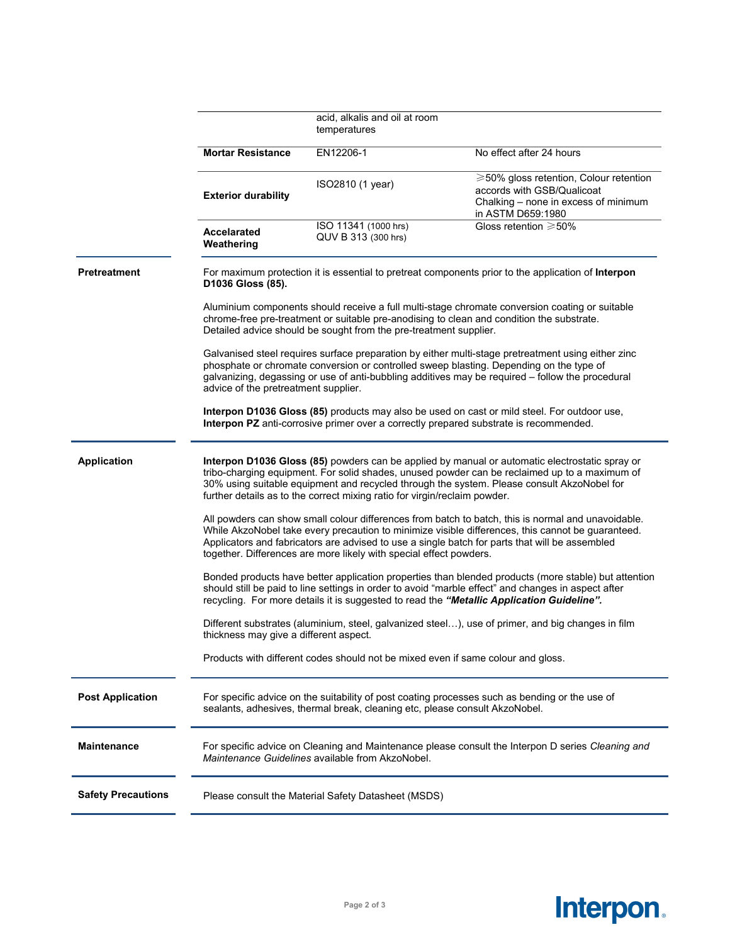|                           |                                                                                                                                                                                                                                                                                                                                                                                 | acid, alkalis and oil at room                                                    |                                                                                                                                   |  |  |
|---------------------------|---------------------------------------------------------------------------------------------------------------------------------------------------------------------------------------------------------------------------------------------------------------------------------------------------------------------------------------------------------------------------------|----------------------------------------------------------------------------------|-----------------------------------------------------------------------------------------------------------------------------------|--|--|
|                           |                                                                                                                                                                                                                                                                                                                                                                                 | temperatures                                                                     |                                                                                                                                   |  |  |
|                           | <b>Mortar Resistance</b>                                                                                                                                                                                                                                                                                                                                                        | EN12206-1                                                                        | No effect after 24 hours                                                                                                          |  |  |
|                           | <b>Exterior durability</b>                                                                                                                                                                                                                                                                                                                                                      | ISO2810 (1 year)                                                                 | ≥50% gloss retention, Colour retention<br>accords with GSB/Qualicoat<br>Chalking - none in excess of minimum<br>in ASTM D659:1980 |  |  |
|                           | <b>Accelarated</b><br>Weathering                                                                                                                                                                                                                                                                                                                                                | ISO 11341 (1000 hrs)<br>QUV B 313 (300 hrs)                                      | Gloss retention $\geq 50\%$                                                                                                       |  |  |
| Pretreatment              | For maximum protection it is essential to pretreat components prior to the application of Interpon<br>D1036 Gloss (85).                                                                                                                                                                                                                                                         |                                                                                  |                                                                                                                                   |  |  |
|                           | Aluminium components should receive a full multi-stage chromate conversion coating or suitable<br>chrome-free pre-treatment or suitable pre-anodising to clean and condition the substrate.<br>Detailed advice should be sought from the pre-treatment supplier.                                                                                                                |                                                                                  |                                                                                                                                   |  |  |
|                           | Galvanised steel requires surface preparation by either multi-stage pretreatment using either zinc<br>phosphate or chromate conversion or controlled sweep blasting. Depending on the type of<br>galvanizing, degassing or use of anti-bubbling additives may be required - follow the procedural<br>advice of the pretreatment supplier.                                       |                                                                                  |                                                                                                                                   |  |  |
|                           | Interpon D1036 Gloss (85) products may also be used on cast or mild steel. For outdoor use,<br>Interpon PZ anti-corrosive primer over a correctly prepared substrate is recommended.                                                                                                                                                                                            |                                                                                  |                                                                                                                                   |  |  |
| <b>Application</b>        | Interpon D1036 Gloss (85) powders can be applied by manual or automatic electrostatic spray or<br>tribo-charging equipment. For solid shades, unused powder can be reclaimed up to a maximum of<br>30% using suitable equipment and recycled through the system. Please consult AkzoNobel for<br>further details as to the correct mixing ratio for virgin/reclaim powder.      |                                                                                  |                                                                                                                                   |  |  |
|                           | All powders can show small colour differences from batch to batch, this is normal and unavoidable.<br>While AkzoNobel take every precaution to minimize visible differences, this cannot be guaranteed.<br>Applicators and fabricators are advised to use a single batch for parts that will be assembled<br>together. Differences are more likely with special effect powders. |                                                                                  |                                                                                                                                   |  |  |
|                           | Bonded products have better application properties than blended products (more stable) but attention<br>should still be paid to line settings in order to avoid "marble effect" and changes in aspect after<br>recycling. For more details it is suggested to read the "Metallic Application Guideline".                                                                        |                                                                                  |                                                                                                                                   |  |  |
|                           | Different substrates (aluminium, steel, galvanized steel), use of primer, and big changes in film<br>thickness may give a different aspect.                                                                                                                                                                                                                                     |                                                                                  |                                                                                                                                   |  |  |
|                           |                                                                                                                                                                                                                                                                                                                                                                                 | Products with different codes should not be mixed even if same colour and gloss. |                                                                                                                                   |  |  |
| <b>Post Application</b>   | For specific advice on the suitability of post coating processes such as bending or the use of<br>sealants, adhesives, thermal break, cleaning etc, please consult AkzoNobel.                                                                                                                                                                                                   |                                                                                  |                                                                                                                                   |  |  |
| <b>Maintenance</b>        | For specific advice on Cleaning and Maintenance please consult the Interpon D series Cleaning and<br>Maintenance Guidelines available from AkzoNobel.                                                                                                                                                                                                                           |                                                                                  |                                                                                                                                   |  |  |
| <b>Safety Precautions</b> | Please consult the Material Safety Datasheet (MSDS)                                                                                                                                                                                                                                                                                                                             |                                                                                  |                                                                                                                                   |  |  |
|                           |                                                                                                                                                                                                                                                                                                                                                                                 |                                                                                  |                                                                                                                                   |  |  |

## **Interpon.**